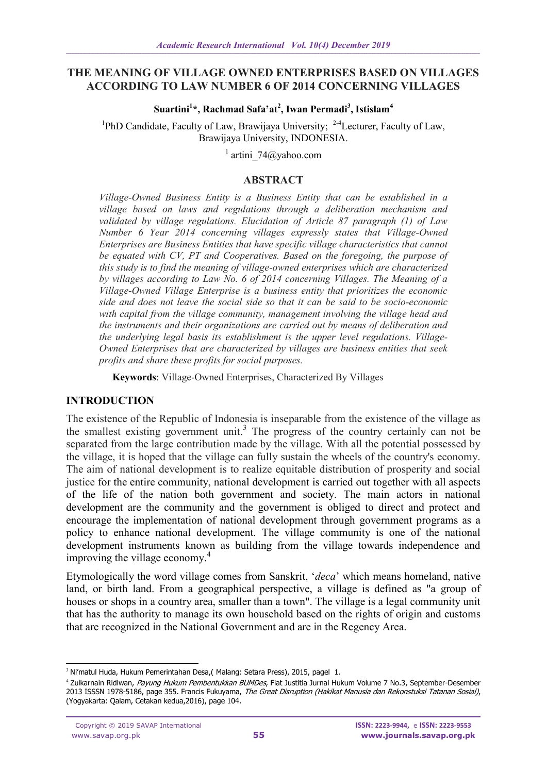## **THE MEANING OF VILLAGE OWNED ENTERPRISES BASED ON VILLAGES ACCORDING TO LAW NUMBER 6 OF 2014 CONCERNING VILLAGES**

**Suartini<sup>1</sup> \*, Rachmad Safa'at<sup>2</sup> , Iwan Permadi<sup>3</sup> , Istislam<sup>4</sup>**

<sup>1</sup>PhD Candidate, Faculty of Law, Brawijaya University; <sup>2-4</sup>Lecturer, Faculty of Law, Brawijaya University, INDONESIA.

<sup>1</sup> [artini\\_74@yahoo.com](mailto:artini_74@yahoo.com)

#### **ABSTRACT**

*Village-Owned Business Entity is a Business Entity that can be established in a village based on laws and regulations through a deliberation mechanism and validated by village regulations. Elucidation of Article 87 paragraph (1) of Law Number 6 Year 2014 concerning villages expressly states that Village-Owned Enterprises are Business Entities that have specific village characteristics that cannot be equated with CV, PT and Cooperatives. Based on the foregoing, the purpose of this study is to find the meaning of village-owned enterprises which are characterized by villages according to Law No. 6 of 2014 concerning Villages. The Meaning of a Village-Owned Village Enterprise is a business entity that prioritizes the economic side and does not leave the social side so that it can be said to be socio-economic with capital from the village community, management involving the village head and the instruments and their organizations are carried out by means of deliberation and the underlying legal basis its establishment is the upper level regulations. Village-Owned Enterprises that are characterized by villages are business entities that seek profits and share these profits for social purposes.*

**Keywords**: Village-Owned Enterprises, Characterized By Villages

## **INTRODUCTION**

The existence of the Republic of Indonesia is inseparable from the existence of the village as the smallest existing government unit.<sup>3</sup> The progress of the country certainly can not be separated from the large contribution made by the village. With all the potential possessed by the village, it is hoped that the village can fully sustain the wheels of the country's economy. The aim of national development is to realize equitable distribution of prosperity and social justice for the entire community, national development is carried out together with all aspects of the life of the nation both government and society. The main actors in national development are the community and the government is obliged to direct and protect and encourage the implementation of national development through government programs as a policy to enhance national development. The village community is one of the national development instruments known as building from the village towards independence and improving the village economy.<sup>4</sup>

Etymologically the word village comes from Sanskrit, '*deca*' which means homeland, native land, or birth land. From a geographical perspective, a village is defined as "a group of houses or shops in a country area, smaller than a town". The village is a legal community unit that has the authority to manage its own household based on the rights of origin and customs that are recognized in the National Government and are in the Regency Area.

<sup>1</sup> <sup>3</sup> Ni'matul Huda, Hukum Pemerintahan Desa, (Malang: Setara Press), 2015, pagel 1.

<sup>&</sup>lt;sup>4</sup> Zulkarnain Ridlwan, *Payung Hukum Pembentukkan BUMDes*, Fiat Justitia Jurnal Hukum Volume 7 No.3, September-Desember 2013 ISSSN 1978-5186, page 355. Francis Fukuyama, The Great Disruption (Hakikat Manusia dan Rekonstuksi Tatanan Sosial), (Yogyakarta: Qalam, Cetakan kedua,2016), page 104.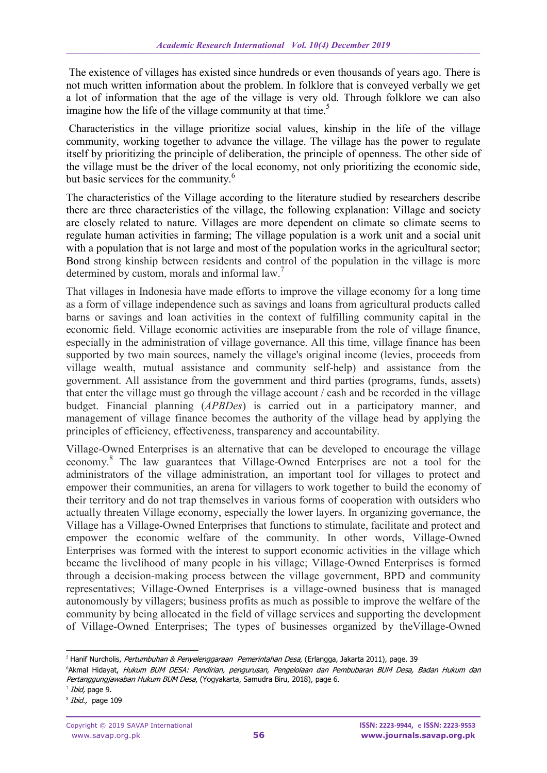The existence of villages has existed since hundreds or even thousands of years ago. There is not much written information about the problem. In folklore that is conveyed verbally we get a lot of information that the age of the village is very old. Through folklore we can also imagine how the life of the village community at that time.<sup>5</sup>

Characteristics in the village prioritize social values, kinship in the life of the village community, working together to advance the village. The village has the power to regulate itself by prioritizing the principle of deliberation, the principle of openness. The other side of the village must be the driver of the local economy, not only prioritizing the economic side, but basic services for the community.<sup>6</sup>

The characteristics of the Village according to the literature studied by researchers describe there are three characteristics of the village, the following explanation: Village and society are closely related to nature. Villages are more dependent on climate so climate seems to regulate human activities in farming; The village population is a work unit and a social unit with a population that is not large and most of the population works in the agricultural sector; Bond strong kinship between residents and control of the population in the village is more determined by custom, morals and informal law.<sup>7</sup>

That villages in Indonesia have made efforts to improve the village economy for a long time as a form of village independence such as savings and loans from agricultural products called barns or savings and loan activities in the context of fulfilling community capital in the economic field. Village economic activities are inseparable from the role of village finance, especially in the administration of village governance. All this time, village finance has been supported by two main sources, namely the village's original income (levies, proceeds from village wealth, mutual assistance and community self-help) and assistance from the government. All assistance from the government and third parties (programs, funds, assets) that enter the village must go through the village account / cash and be recorded in the village budget. Financial planning (*APBDes*) is carried out in a participatory manner, and management of village finance becomes the authority of the village head by applying the principles of efficiency, effectiveness, transparency and accountability.

Village-Owned Enterprises is an alternative that can be developed to encourage the village economy.<sup>8</sup> The law guarantees that Village-Owned Enterprises are not a tool for the administrators of the village administration, an important tool for villages to protect and empower their communities, an arena for villagers to work together to build the economy of their territory and do not trap themselves in various forms of cooperation with outsiders who actually threaten Village economy, especially the lower layers. In organizing governance, the Village has a Village-Owned Enterprises that functions to stimulate, facilitate and protect and empower the economic welfare of the community. In other words, Village-Owned Enterprises was formed with the interest to support economic activities in the village which became the livelihood of many people in his village; Village-Owned Enterprises is formed through a decision-making process between the village government, BPD and community representatives; Village-Owned Enterprises is a village-owned business that is managed autonomously by villagers; business profits as much as possible to improve the welfare of the community by being allocated in the field of village services and supporting the development of Village-Owned Enterprises; The types of businesses organized by theVillage-Owned

1

<sup>&</sup>lt;sup>5</sup> Hanif Nurcholis, Pertumbuhan & Penyelenggaraan Pemerintahan Desa, (Erlangga, Jakarta 2011), page. 39

<sup>6</sup>Akmal Hidayat, Hukum BUM DESA: Pendirian, pengurusan, Pengelolaan dan Pembubaran BUM Desa, Badan Hukum dan Pertanggungjawaban Hukum BUM Desa, (Yogyakarta, Samudra Biru, 2018), page 6.

<sup>&</sup>lt;sup>7</sup> Ibid, page 9.

<sup>&</sup>lt;sup>8</sup> *Ibid.*, page 109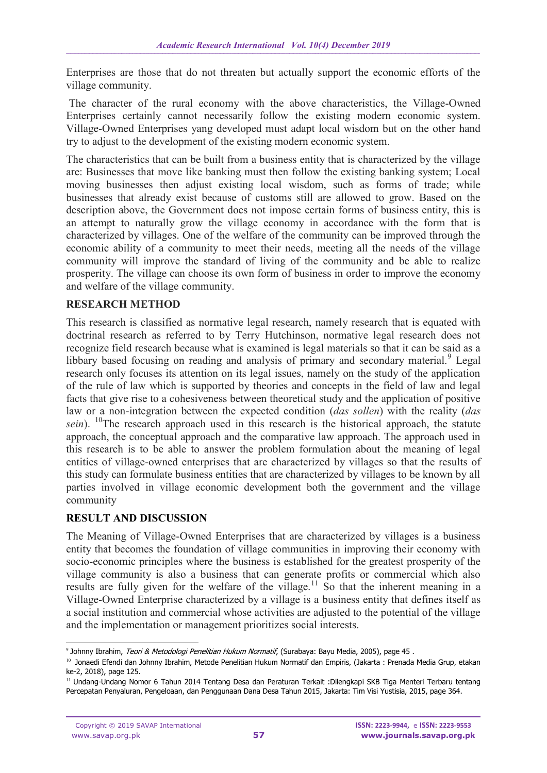Enterprises are those that do not threaten but actually support the economic efforts of the village community.

The character of the rural economy with the above characteristics, the Village-Owned Enterprises certainly cannot necessarily follow the existing modern economic system. Village-Owned Enterprises yang developed must adapt local wisdom but on the other hand try to adjust to the development of the existing modern economic system.

The characteristics that can be built from a business entity that is characterized by the village are: Businesses that move like banking must then follow the existing banking system; Local moving businesses then adjust existing local wisdom, such as forms of trade; while businesses that already exist because of customs still are allowed to grow. Based on the description above, the Government does not impose certain forms of business entity, this is an attempt to naturally grow the village economy in accordance with the form that is characterized by villages. One of the welfare of the community can be improved through the economic ability of a community to meet their needs, meeting all the needs of the village community will improve the standard of living of the community and be able to realize prosperity. The village can choose its own form of business in order to improve the economy and welfare of the village community.

## **RESEARCH METHOD**

This research is classified as normative legal research, namely research that is equated with doctrinal research as referred to by Terry Hutchinson, normative legal research does not recognize field research because what is examined is legal materials so that it can be said as a libbary based focusing on reading and analysis of primary and secondary material.<sup>9</sup> Legal research only focuses its attention on its legal issues, namely on the study of the application of the rule of law which is supported by theories and concepts in the field of law and legal facts that give rise to a cohesiveness between theoretical study and the application of positive law or a non-integration between the expected condition (*das sollen*) with the reality (*das sein*). <sup>10</sup>The research approach used in this research is the historical approach, the statute approach, the conceptual approach and the comparative law approach. The approach used in this research is to be able to answer the problem formulation about the meaning of legal entities of village-owned enterprises that are characterized by villages so that the results of this study can formulate business entities that are characterized by villages to be known by all parties involved in village economic development both the government and the village community

## **RESULT AND DISCUSSION**

The Meaning of Village-Owned Enterprises that are characterized by villages is a business entity that becomes the foundation of village communities in improving their economy with socio-economic principles where the business is established for the greatest prosperity of the village community is also a business that can generate profits or commercial which also results are fully given for the welfare of the village.<sup>11</sup> So that the inherent meaning in a Village-Owned Enterprise characterized by a village is a business entity that defines itself as a social institution and commercial whose activities are adjusted to the potential of the village and the implementation or management prioritizes social interests.

<sup>1</sup> <sup>9</sup> Johnny Ibrahim, *Teori & Metodologi Penelitian Hukum Normatif*, (Surabaya: Bayu Media, 2005), page 45 .

<sup>&</sup>lt;sup>10</sup> Jonaedi Efendi dan Johnny Ibrahim, Metode Penelitian Hukum Normatif dan Empiris, (Jakarta : Prenada Media Grup, etakan ke-2, 2018), page 125.

<sup>11</sup> Undang-Undang Nomor 6 Tahun 2014 Tentang Desa dan Peraturan Terkait :Dilengkapi SKB Tiga Menteri Terbaru tentang Percepatan Penyaluran, Pengeloaan, dan Penggunaan Dana Desa Tahun 2015, Jakarta: Tim Visi Yustisia, 2015, page 364.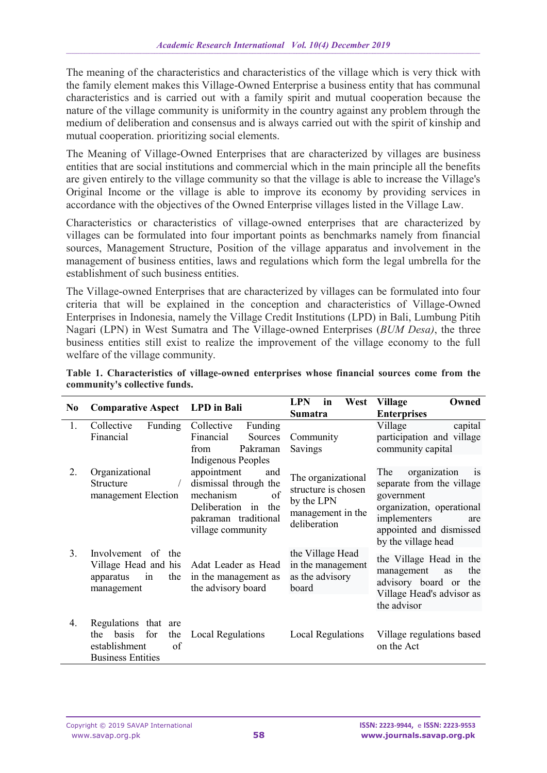The meaning of the characteristics and characteristics of the village which is very thick with the family element makes this Village-Owned Enterprise a business entity that has communal characteristics and is carried out with a family spirit and mutual cooperation because the nature of the village community is uniformity in the country against any problem through the medium of deliberation and consensus and is always carried out with the spirit of kinship and mutual cooperation. prioritizing social elements.

The Meaning of Village-Owned Enterprises that are characterized by villages are business entities that are social institutions and commercial which in the main principle all the benefits are given entirely to the village community so that the village is able to increase the Village's Original Income or the village is able to improve its economy by providing services in accordance with the objectives of the Owned Enterprise villages listed in the Village Law.

Characteristics or characteristics of village-owned enterprises that are characterized by villages can be formulated into four important points as benchmarks namely from financial sources, Management Structure, Position of the village apparatus and involvement in the management of business entities, laws and regulations which form the legal umbrella for the establishment of such business entities.

The Village-owned Enterprises that are characterized by villages can be formulated into four criteria that will be explained in the conception and characteristics of Village-Owned Enterprises in Indonesia, namely the Village Credit Institutions (LPD) in Bali, Lumbung Pitih Nagari (LPN) in West Sumatra and The Village-owned Enterprises (*BUM Desa)*, the three business entities still exist to realize the improvement of the village economy to the full welfare of the village community.

| No.            | <b>Comparative Aspect</b>                                                                             | <b>LPD</b> in Bali                                                                                                                       | <b>LPN</b><br>West<br>in<br>Sumatra                                                          | Village<br>Owned<br><b>Enterprises</b>                                                                                                                                     |
|----------------|-------------------------------------------------------------------------------------------------------|------------------------------------------------------------------------------------------------------------------------------------------|----------------------------------------------------------------------------------------------|----------------------------------------------------------------------------------------------------------------------------------------------------------------------------|
| $\mathbf{1}$ . | Collective<br>Funding<br>Financial                                                                    | Collective<br>Funding<br>Financial<br>Sources<br>Pakraman<br>from<br><b>Indigenous Peoples</b>                                           | Community<br>Savings                                                                         | Village<br>capital<br>participation and village<br>community capital                                                                                                       |
| 2.             | Organizational<br>Structure<br>management Election                                                    | appointment<br>and<br>dismissal through the<br>mechanism<br>of<br>Deliberation<br>the<br>1n<br>pakraman traditional<br>village community | The organizational<br>structure is chosen<br>by the LPN<br>management in the<br>deliberation | The<br>organization<br>1S<br>separate from the village<br>government<br>organization, operational<br>implementers<br>are<br>appointed and dismissed<br>by the village head |
| 3 <sub>1</sub> | Involvement of the<br>Village Head and his<br>the<br>apparatus<br>in<br>management                    | Adat Leader as Head<br>in the management as<br>the advisory board                                                                        | the Village Head<br>in the management<br>as the advisory<br>board                            | the Village Head in the<br>the<br>management<br>as<br>advisory board or<br>the<br>Village Head's advisor as<br>the advisor                                                 |
| 4.             | Regulations that are<br>for<br>the<br>basis<br>the<br>establishment<br>of<br><b>Business Entities</b> | <b>Local Regulations</b>                                                                                                                 | <b>Local Regulations</b>                                                                     | Village regulations based<br>on the Act                                                                                                                                    |

**Table 1. Characteristics of village-owned enterprises whose financial sources come from the community's collective funds.**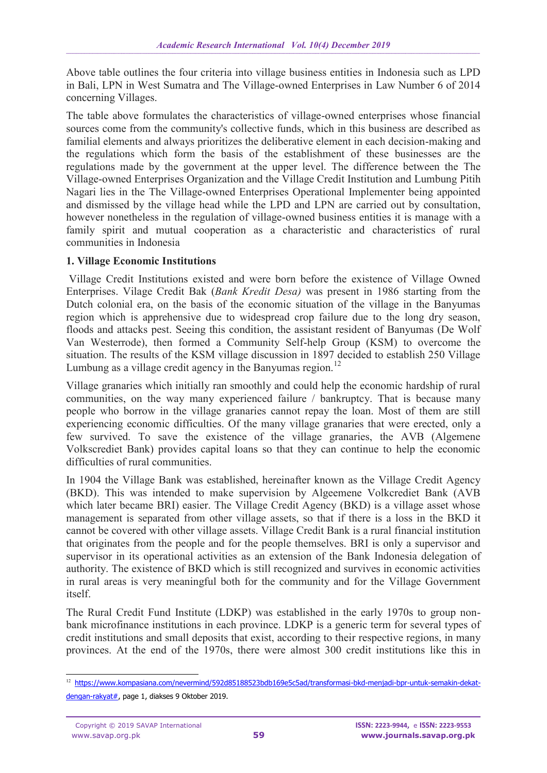Above table outlines the four criteria into village business entities in Indonesia such as LPD in Bali, LPN in West Sumatra and The Village-owned Enterprises in Law Number 6 of 2014 concerning Villages.

The table above formulates the characteristics of village-owned enterprises whose financial sources come from the community's collective funds, which in this business are described as familial elements and always prioritizes the deliberative element in each decision-making and the regulations which form the basis of the establishment of these businesses are the regulations made by the government at the upper level. The difference between the The Village-owned Enterprises Organization and the Village Credit Institution and Lumbung Pitih Nagari lies in the The Village-owned Enterprises Operational Implementer being appointed and dismissed by the village head while the LPD and LPN are carried out by consultation, however nonetheless in the regulation of village-owned business entities it is manage with a family spirit and mutual cooperation as a characteristic and characteristics of rural communities in Indonesia

## **1. Village Economic Institutions**

Village Credit Institutions existed and were born before the existence of Village Owned Enterprises. Vilage Credit Bak (*Bank Kredit Desa)* was present in 1986 starting from the Dutch colonial era, on the basis of the economic situation of the village in the Banyumas region which is apprehensive due to widespread crop failure due to the long dry season, floods and attacks pest. Seeing this condition, the assistant resident of Banyumas (De Wolf Van Westerrode), then formed a Community Self-help Group (KSM) to overcome the situation. The results of the KSM village discussion in 1897 decided to establish 250 Village Lumbung as a village credit agency in the Banyumas region.<sup>12</sup>

Village granaries which initially ran smoothly and could help the economic hardship of rural communities, on the way many experienced failure / bankruptcy. That is because many people who borrow in the village granaries cannot repay the loan. Most of them are still experiencing economic difficulties. Of the many village granaries that were erected, only a few survived. To save the existence of the village granaries, the AVB (Algemene Volkscrediet Bank) provides capital loans so that they can continue to help the economic difficulties of rural communities.

In 1904 the Village Bank was established, hereinafter known as the Village Credit Agency (BKD). This was intended to make supervision by Algeemene Volkcrediet Bank (AVB which later became BRI) easier. The Village Credit Agency (BKD) is a village asset whose management is separated from other village assets, so that if there is a loss in the BKD it cannot be covered with other village assets. Village Credit Bank is a rural financial institution that originates from the people and for the people themselves. BRI is only a supervisor and supervisor in its operational activities as an extension of the Bank Indonesia delegation of authority. The existence of BKD which is still recognized and survives in economic activities in rural areas is very meaningful both for the community and for the Village Government itself.

The Rural Credit Fund Institute (LDKP) was established in the early 1970s to group nonbank microfinance institutions in each province. LDKP is a generic term for several types of credit institutions and small deposits that exist, according to their respective regions, in many provinces. At the end of the 1970s, there were almost 300 credit institutions like this in

<sup>12</sup> [https://www.kompasiana.com/nevermind/592d85188523bdb169e5c5ad/transformasi-bkd-menjadi-bpr-untuk-semakin-dekat](https://www.kompasiana.com/nevermind/592d85188523bdb169e5c5ad/transformasi-bkd-menjadi-bpr-untuk-semakin-dekat-dengan-rakyat)[dengan-rakyat#,](https://www.kompasiana.com/nevermind/592d85188523bdb169e5c5ad/transformasi-bkd-menjadi-bpr-untuk-semakin-dekat-dengan-rakyat) page 1, diakses 9 Oktober 2019.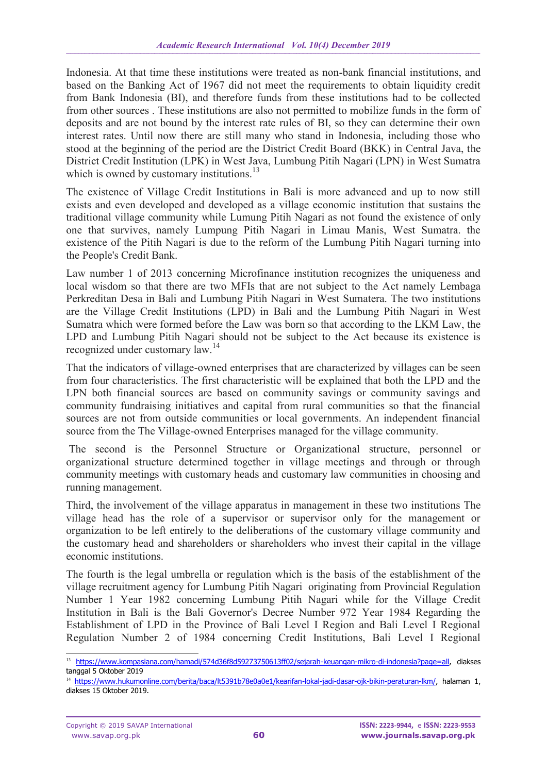Indonesia. At that time these institutions were treated as non-bank financial institutions, and based on the Banking Act of 1967 did not meet the requirements to obtain liquidity credit from Bank Indonesia (BI), and therefore funds from these institutions had to be collected from other sources . These institutions are also not permitted to mobilize funds in the form of deposits and are not bound by the interest rate rules of BI, so they can determine their own interest rates. Until now there are still many who stand in Indonesia, including those who stood at the beginning of the period are the District Credit Board (BKK) in Central Java, the District Credit Institution (LPK) in West Java, Lumbung Pitih Nagari (LPN) in West Sumatra which is owned by customary institutions. $^{13}$ 

The existence of Village Credit Institutions in Bali is more advanced and up to now still exists and even developed and developed as a village economic institution that sustains the traditional village community while Lumung Pitih Nagari as not found the existence of only one that survives, namely Lumpung Pitih Nagari in Limau Manis, West Sumatra. the existence of the Pitih Nagari is due to the reform of the Lumbung Pitih Nagari turning into the People's Credit Bank.

Law number 1 of 2013 concerning Microfinance institution recognizes the uniqueness and local wisdom so that there are two MFIs that are not subject to the Act namely Lembaga Perkreditan Desa in Bali and Lumbung Pitih Nagari in West Sumatera. The two institutions are the Village Credit Institutions (LPD) in Bali and the Lumbung Pitih Nagari in West Sumatra which were formed before the Law was born so that according to the LKM Law, the LPD and Lumbung Pitih Nagari should not be subject to the Act because its existence is recognized under customary law.<sup>14</sup>

That the indicators of village-owned enterprises that are characterized by villages can be seen from four characteristics. The first characteristic will be explained that both the LPD and the LPN both financial sources are based on community savings or community savings and community fundraising initiatives and capital from rural communities so that the financial sources are not from outside communities or local governments. An independent financial source from the The Village-owned Enterprises managed for the village community.

The second is the Personnel Structure or Organizational structure, personnel or organizational structure determined together in village meetings and through or through community meetings with customary heads and customary law communities in choosing and running management.

Third, the involvement of the village apparatus in management in these two institutions The village head has the role of a supervisor or supervisor only for the management or organization to be left entirely to the deliberations of the customary village community and the customary head and shareholders or shareholders who invest their capital in the village economic institutions.

The fourth is the legal umbrella or regulation which is the basis of the establishment of the village recruitment agency for Lumbung Pitih Nagari originating from Provincial Regulation Number 1 Year 1982 concerning Lumbung Pitih Nagari while for the Village Credit Institution in Bali is the Bali Governor's Decree Number 972 Year 1984 Regarding the Establishment of LPD in the Province of Bali Level I Region and Bali Level I Regional Regulation Number 2 of 1984 concerning Credit Institutions, Bali Level I Regional

<sup>13</sup> [https://www.kompasiana.com/hamadi/574d36f8d59273750613ff02/sejarah-keuangan-mikro-di-indonesia?page=all,](https://www.kompasiana.com/hamadi/574d36f8d59273750613ff02/sejarah-keuangan-mikro-di-indonesia?page=all) diakses tanggal 5 Oktober 2019

<sup>14</sup> [https://www.hukumonline.com/berita/baca/lt5391b78e0a0e1/kearifan-lokal-jadi-dasar-ojk-bikin-peraturan-lkm/,](https://www.hukumonline.com/berita/baca/lt5391b78e0a0e1/kearifan-lokal-jadi-dasar-ojk-bikin-peraturan-lkm/) halaman 1, diakses 15 Oktober 2019.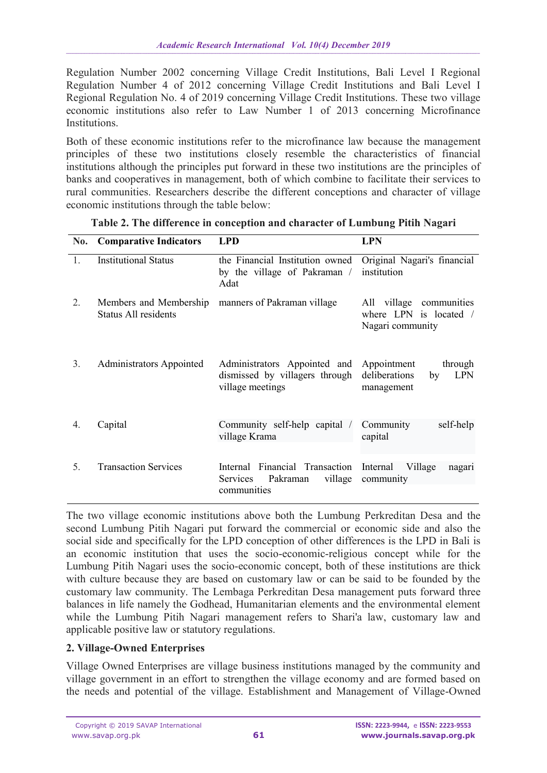Regulation Number 2002 concerning Village Credit Institutions, Bali Level I Regional Regulation Number 4 of 2012 concerning Village Credit Institutions and Bali Level I Regional Regulation No. 4 of 2019 concerning Village Credit Institutions. These two village economic institutions also refer to Law Number 1 of 2013 concerning Microfinance Institutions.

Both of these economic institutions refer to the microfinance law because the management principles of these two institutions closely resemble the characteristics of financial institutions although the principles put forward in these two institutions are the principles of banks and cooperatives in management, both of which combine to facilitate their services to rural communities. Researchers describe the different conceptions and character of village economic institutions through the table below:

| No. | <b>Comparative Indicators</b>                         | <b>LPD</b>                                                                              | <b>LPN</b>                                                                |
|-----|-------------------------------------------------------|-----------------------------------------------------------------------------------------|---------------------------------------------------------------------------|
| 1.  | <b>Institutional Status</b>                           | the Financial Institution owned<br>by the village of Pakraman /<br>Adat                 | Original Nagari's financial<br>institution                                |
| 2.  | Members and Membership<br><b>Status All residents</b> | manners of Pakraman village                                                             | village communities<br>All<br>where LPN is located /<br>Nagari community  |
| 3.  | Administrators Appointed                              | Administrators Appointed and<br>dismissed by villagers through<br>village meetings      | Appointment<br>through<br><b>LPN</b><br>deliberations<br>by<br>management |
| 4.  | Capital                                               | Community self-help capital /<br>village Krama                                          | Community<br>self-help<br>capital                                         |
| 5.  | <b>Transaction Services</b>                           | Internal Financial Transaction<br>village<br>Pakraman<br><b>Services</b><br>communities | Internal<br>Village<br>nagari<br>community                                |

**Table 2. The difference in conception and character of Lumbung Pitih Nagari**

The two village economic institutions above both the Lumbung Perkreditan Desa and the second Lumbung Pitih Nagari put forward the commercial or economic side and also the social side and specifically for the LPD conception of other differences is the LPD in Bali is an economic institution that uses the socio-economic-religious concept while for the Lumbung Pitih Nagari uses the socio-economic concept, both of these institutions are thick with culture because they are based on customary law or can be said to be founded by the customary law community. The Lembaga Perkreditan Desa management puts forward three balances in life namely the Godhead, Humanitarian elements and the environmental element while the Lumbung Pitih Nagari management refers to Shari'a law, customary law and applicable positive law or statutory regulations.

# **2. Village-Owned Enterprises**

Village Owned Enterprises are village business institutions managed by the community and village government in an effort to strengthen the village economy and are formed based on the needs and potential of the village. Establishment and Management of Village-Owned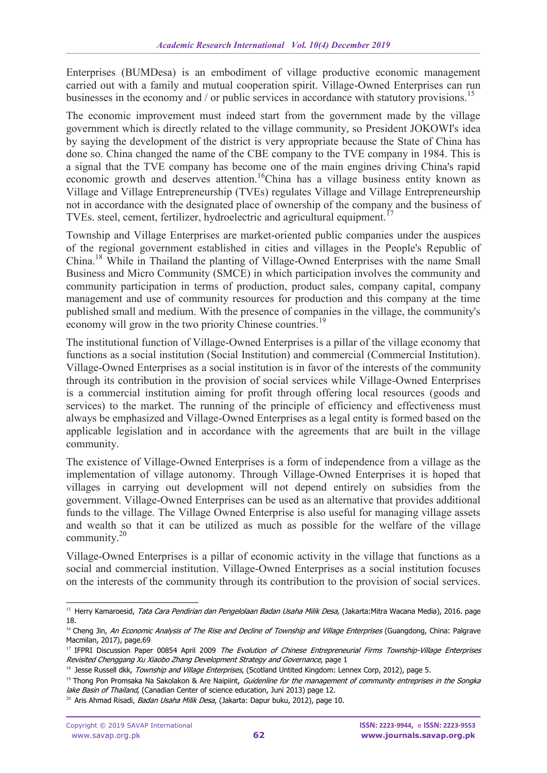Enterprises (BUMDesa) is an embodiment of village productive economic management carried out with a family and mutual cooperation spirit. Village-Owned Enterprises can run businesses in the economy and / or public services in accordance with statutory provisions.<sup>15</sup>

The economic improvement must indeed start from the government made by the village government which is directly related to the village community, so President JOKOWI's idea by saying the development of the district is very appropriate because the State of China has done so. China changed the name of the CBE company to the TVE company in 1984. This is a signal that the TVE company has become one of the main engines driving China's rapid economic growth and deserves attention.<sup>16</sup>China has a village business entity known as Village and Village Entrepreneurship (TVEs) regulates Village and Village Entrepreneurship not in accordance with the designated place of ownership of the company and the business of TVEs. steel, cement, fertilizer, hydroelectric and agricultural equipment.<sup>17</sup>

Township and Village Enterprises are market-oriented public companies under the auspices of the regional government established in cities and villages in the People's Republic of China.<sup>18</sup> While in Thailand the planting of Village-Owned Enterprises with the name Small Business and Micro Community (SMCE) in which participation involves the community and community participation in terms of production, product sales, company capital, company management and use of community resources for production and this company at the time published small and medium. With the presence of companies in the village, the community's economy will grow in the two priority Chinese countries.<sup>19</sup>

The institutional function of Village-Owned Enterprises is a pillar of the village economy that functions as a social institution (Social Institution) and commercial (Commercial Institution). Village-Owned Enterprises as a social institution is in favor of the interests of the community through its contribution in the provision of social services while Village-Owned Enterprises is a commercial institution aiming for profit through offering local resources (goods and services) to the market. The running of the principle of efficiency and effectiveness must always be emphasized and Village-Owned Enterprises as a legal entity is formed based on the applicable legislation and in accordance with the agreements that are built in the village community.

The existence of Village-Owned Enterprises is a form of independence from a village as the implementation of village autonomy. Through Village-Owned Enterprises it is hoped that villages in carrying out development will not depend entirely on subsidies from the government. Village-Owned Enterprises can be used as an alternative that provides additional funds to the village. The Village Owned Enterprise is also useful for managing village assets and wealth so that it can be utilized as much as possible for the welfare of the village community.<sup>20</sup>

Village-Owned Enterprises is a pillar of economic activity in the village that functions as a social and commercial institution. Village-Owned Enterprises as a social institution focuses on the interests of the community through its contribution to the provision of social services.

 15 Herry Kamaroesid, Tata Cara Pendirian dan Pengelolaan Badan Usaha Milik Desa, (Jakarta:Mitra Wacana Media), 2016. page 18.

<sup>&</sup>lt;sup>16</sup> Cheng Jin, An Economic Analysis of The Rise and Decline of Township and Village Enterprises (Guangdong, China: Palgrave Macmilan, 2017), page.69

<sup>&</sup>lt;sup>17</sup> IFPRI Discussion Paper 00854 April 2009 The Evolution of Chinese Entrepreneurial Firms Township-Village Enterprises Revisited Chenggang Xu Xiaobo Zhang Development Strategy and Governance, page 1

<sup>&</sup>lt;sup>18</sup> Jesse Russell dkk, Township and Village Enterprises, (Scotland Untited Kingdom: Lennex Corp, 2012), page 5.

<sup>&</sup>lt;sup>19</sup> Thong Pon Promsaka Na Sakolakon & Are Naipiint. *Guidenline for the management of community entreprises in the Songka* lake Basin of Thailand, (Canadian Center of science education, Juni 2013) page 12.

<sup>&</sup>lt;sup>20</sup> Aris Ahmad Risadi, *Badan Usaha Milik Desa*, (Jakarta: Dapur buku, 2012), page 10.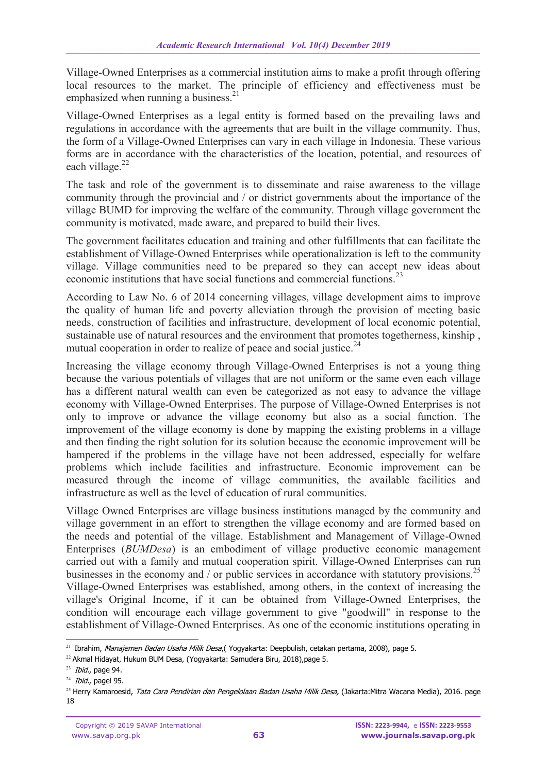Village-Owned Enterprises as a commercial institution aims to make a profit through offering local resources to the market. The principle of efficiency and effectiveness must be emphasized when running a business. $^{21}$ 

Village-Owned Enterprises as a legal entity is formed based on the prevailing laws and regulations in accordance with the agreements that are built in the village community. Thus, the form of a Village-Owned Enterprises can vary in each village in Indonesia. These various forms are in accordance with the characteristics of the location, potential, and resources of each village. $22$ 

The task and role of the government is to disseminate and raise awareness to the village community through the provincial and / or district governments about the importance of the village BUMD for improving the welfare of the community. Through village government the community is motivated, made aware, and prepared to build their lives.

The government facilitates education and training and other fulfillments that can facilitate the establishment of Village-Owned Enterprises while operationalization is left to the community village. Village communities need to be prepared so they can accept new ideas about economic institutions that have social functions and commercial functions.<sup>23</sup>

According to Law No. 6 of 2014 concerning villages, village development aims to improve the quality of human life and poverty alleviation through the provision of meeting basic needs, construction of facilities and infrastructure, development of local economic potential, sustainable use of natural resources and the environment that promotes togetherness, kinship , mutual cooperation in order to realize of peace and social justice.<sup>24</sup>

Increasing the village economy through Village-Owned Enterprises is not a young thing because the various potentials of villages that are not uniform or the same even each village has a different natural wealth can even be categorized as not easy to advance the village economy with Village-Owned Enterprises. The purpose of Village-Owned Enterprises is not only to improve or advance the village economy but also as a social function. The improvement of the village economy is done by mapping the existing problems in a village and then finding the right solution for its solution because the economic improvement will be hampered if the problems in the village have not been addressed, especially for welfare problems which include facilities and infrastructure. Economic improvement can be measured through the income of village communities, the available facilities and infrastructure as well as the level of education of rural communities.

Village Owned Enterprises are village business institutions managed by the community and village government in an effort to strengthen the village economy and are formed based on the needs and potential of the village. Establishment and Management of Village-Owned Enterprises (*BUMDesa*) is an embodiment of village productive economic management carried out with a family and mutual cooperation spirit. Village-Owned Enterprises can run businesses in the economy and / or public services in accordance with statutory provisions.<sup>25</sup> Village-Owned Enterprises was established, among others, in the context of increasing the village's Original Income, if it can be obtained from Village-Owned Enterprises, the condition will encourage each village government to give "goodwill" in response to the establishment of Village-Owned Enterprises. As one of the economic institutions operating in

 21 Ibrahim, Manajemen Badan Usaha Milik Desa,( Yogyakarta: Deepbulish, cetakan pertama, 2008), page 5.

 $^{22}$  Akmal Hidayat, Hukum BUM Desa, (Yogyakarta: Samudera Biru, 2018),page 5.

 $^{23}$  *Ibid.*, page 94.

<sup>&</sup>lt;sup>24</sup> *Ibid.*, pagel 95.

<sup>&</sup>lt;sup>25</sup> Herry Kamaroesid, Tata Cara Pendirian dan Pengelolaan Badan Usaha Milik Desa, (Jakarta:Mitra Wacana Media), 2016. page 18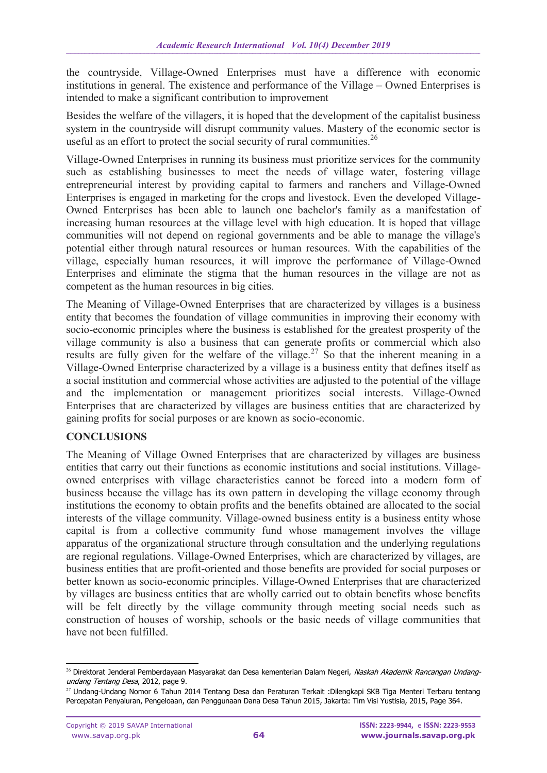the countryside, Village-Owned Enterprises must have a difference with economic institutions in general. The existence and performance of the Village – Owned Enterprises is intended to make a significant contribution to improvement

Besides the welfare of the villagers, it is hoped that the development of the capitalist business system in the countryside will disrupt community values. Mastery of the economic sector is useful as an effort to protect the social security of rural communities.<sup>26</sup>

Village-Owned Enterprises in running its business must prioritize services for the community such as establishing businesses to meet the needs of village water, fostering village entrepreneurial interest by providing capital to farmers and ranchers and Village-Owned Enterprises is engaged in marketing for the crops and livestock. Even the developed Village-Owned Enterprises has been able to launch one bachelor's family as a manifestation of increasing human resources at the village level with high education. It is hoped that village communities will not depend on regional governments and be able to manage the village's potential either through natural resources or human resources. With the capabilities of the village, especially human resources, it will improve the performance of Village-Owned Enterprises and eliminate the stigma that the human resources in the village are not as competent as the human resources in big cities.

The Meaning of Village-Owned Enterprises that are characterized by villages is a business entity that becomes the foundation of village communities in improving their economy with socio-economic principles where the business is established for the greatest prosperity of the village community is also a business that can generate profits or commercial which also results are fully given for the welfare of the village.<sup>27</sup> So that the inherent meaning in a Village-Owned Enterprise characterized by a village is a business entity that defines itself as a social institution and commercial whose activities are adjusted to the potential of the village and the implementation or management prioritizes social interests. Village-Owned Enterprises that are characterized by villages are business entities that are characterized by gaining profits for social purposes or are known as socio-economic.

## **CONCLUSIONS**

The Meaning of Village Owned Enterprises that are characterized by villages are business entities that carry out their functions as economic institutions and social institutions. Villageowned enterprises with village characteristics cannot be forced into a modern form of business because the village has its own pattern in developing the village economy through institutions the economy to obtain profits and the benefits obtained are allocated to the social interests of the village community. Village-owned business entity is a business entity whose capital is from a collective community fund whose management involves the village apparatus of the organizational structure through consultation and the underlying regulations are regional regulations. Village-Owned Enterprises, which are characterized by villages, are business entities that are profit-oriented and those benefits are provided for social purposes or better known as socio-economic principles. Village-Owned Enterprises that are characterized by villages are business entities that are wholly carried out to obtain benefits whose benefits will be felt directly by the village community through meeting social needs such as construction of houses of worship, schools or the basic needs of village communities that have not been fulfilled.

<sup>1</sup> <sup>26</sup> Direktorat Jenderal Pemberdayaan Masyarakat dan Desa kementerian Dalam Negeri, *Naskah Akademik Rancangan Undang*undang Tentang Desa, 2012, page 9.

<sup>27</sup> Undang-Undang Nomor 6 Tahun 2014 Tentang Desa dan Peraturan Terkait :Dilengkapi SKB Tiga Menteri Terbaru tentang Percepatan Penyaluran, Pengeloaan, dan Penggunaan Dana Desa Tahun 2015, Jakarta: Tim Visi Yustisia, 2015, Page 364.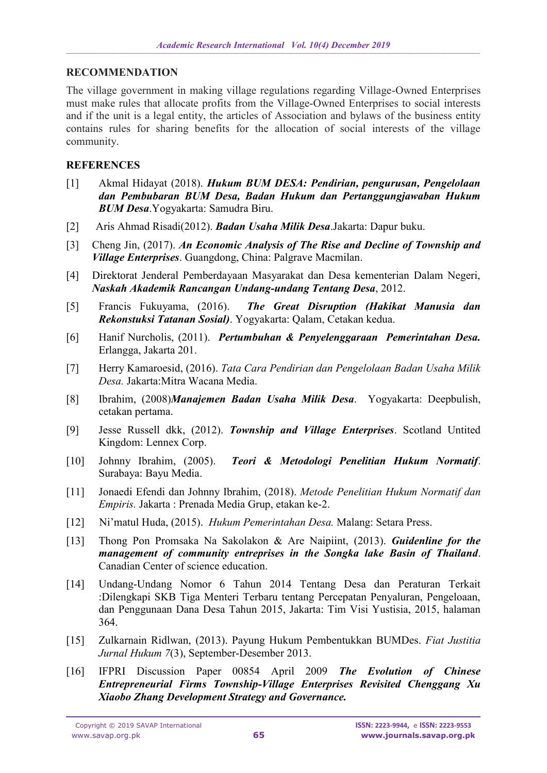## **RECOMMENDATION**

The village government in making village regulations regarding Village-Owned Enterprises must make rules that allocate profits from the Village-Owned Enterprises to social interests and if the unit is a legal entity, the articles of Association and bylaws of the business entity contains rules for sharing benefits for the allocation of social interests of the village community.

## **REFERENCES**

- [1] Akmal Hidayat (2018). *Hukum BUM DESA: Pendirian, pengurusan, Pengelolaan dan Pembubaran BUM Desa, Badan Hukum dan Pertanggungjawaban Hukum BUM Desa*.Yogyakarta: Samudra Biru.
- [2] Aris Ahmad Risadi(2012). *Badan Usaha Milik Desa*.Jakarta: Dapur buku.
- [3] Cheng Jin, (2017). *An Economic Analysis of The Rise and Decline of Township and Village Enterprises*. Guangdong, China: Palgrave Macmilan.
- [4] Direktorat Jenderal Pemberdayaan Masyarakat dan Desa kementerian Dalam Negeri, *Naskah Akademik Rancangan Undang-undang Tentang Desa*, 2012.
- [5] Francis Fukuyama, (2016). *The Great Disruption (Hakikat Manusia dan Rekonstuksi Tatanan Sosial)*. Yogyakarta: Qalam, Cetakan kedua.
- [6] Hanif Nurcholis, (2011). *Pertumbuhan & Penyelenggaraan Pemerintahan Desa.* Erlangga, Jakarta 201.
- [7] Herry Kamaroesid, (2016). *Tata Cara Pendirian dan Pengelolaan Badan Usaha Milik Desa.* Jakarta:Mitra Wacana Media.
- [8] Ibrahim, (2008)*Manajemen Badan Usaha Milik Desa*. Yogyakarta: Deepbulish, cetakan pertama.
- [9] Jesse Russell dkk, (2012). *Township and Village Enterprises*. Scotland Untited Kingdom: Lennex Corp.
- [10] Johnny Ibrahim, (2005). *Teori & Metodologi Penelitian Hukum Normatif*. Surabaya: Bayu Media.
- [11] Jonaedi Efendi dan Johnny Ibrahim, (2018). *Metode Penelitian Hukum Normatif dan Empiris.* Jakarta : Prenada Media Grup, etakan ke-2.
- [12] Ni'matul Huda, (2015). *Hukum Pemerintahan Desa.* Malang: Setara Press.
- [13] Thong Pon Promsaka Na Sakolakon & Are Naipiint, (2013). *Guidenline for the management of community entreprises in the Songka lake Basin of Thailand*. Canadian Center of science education.
- [14] Undang-Undang Nomor 6 Tahun 2014 Tentang Desa dan Peraturan Terkait :Dilengkapi SKB Tiga Menteri Terbaru tentang Percepatan Penyaluran, Pengeloaan, dan Penggunaan Dana Desa Tahun 2015, Jakarta: Tim Visi Yustisia, 2015, halaman 364.
- [15] Zulkarnain Ridlwan, (2013). Payung Hukum Pembentukkan BUMDes. *Fiat Justitia Jurnal Hukum 7*(3), September-Desember 2013.
- [16] IFPRI Discussion Paper 00854 April 2009 *The Evolution of Chinese Entrepreneurial Firms Township-Village Enterprises Revisited Chenggang Xu Xiaobo Zhang Development Strategy and Governance.*